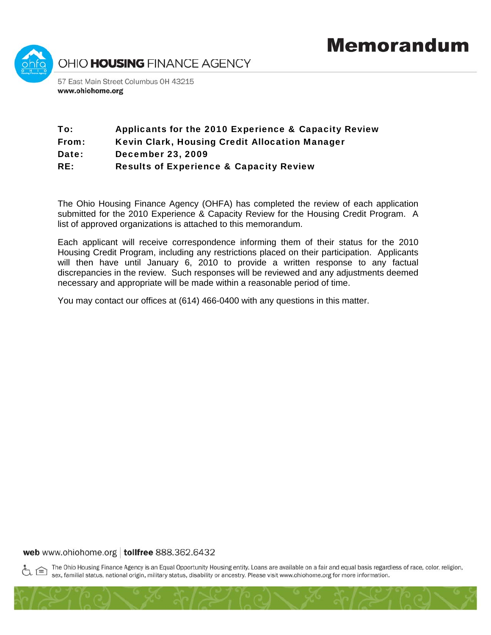

# To: Applicants for the 2010 Experience & Capacity Review From: Kevin Clark, Housing Credit Allocation Manager Date: December 23, 2009

RE: Results of Experience & Capacity Review

The Ohio Housing Finance Agency (OHFA) has completed the review of each application submitted for the 2010 Experience & Capacity Review for the Housing Credit Program. A list of approved organizations is attached to this memorandum.

Each applicant will receive correspondence informing them of their status for the 2010 Housing Credit Program, including any restrictions placed on their participation. Applicants will then have until January 6, 2010 to provide a written response to any factual discrepancies in the review. Such responses will be reviewed and any adjustments deemed necessary and appropriate will be made within a reasonable period of time.

You may contact our offices at (614) 466-0400 with any questions in this matter.

### web www.ohiohome.org | tollfree 888.362.6432

The Ohio Housing Finance Agency is an Equal Opportunity Housing entity. Loans are available on a fair and equal basis regardless of race, color, religion, sex, familial status, national origin, military status, disability or ancestry. Please visit www.ohiohome.org for more information.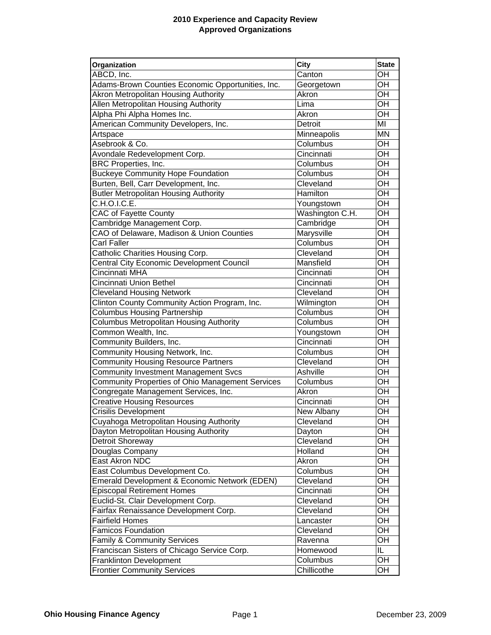## **2010 Experience and Capacity Review Approved Organizations**

| Organization                                            | <b>City</b>     | <b>State</b> |
|---------------------------------------------------------|-----------------|--------------|
| ABCD, Inc.                                              | Canton          | OH           |
| Adams-Brown Counties Economic Opportunities, Inc.       | Georgetown      | OH           |
| Akron Metropolitan Housing Authority                    | Akron           | OH           |
| Allen Metropolitan Housing Authority                    | Lima            | OH           |
| Alpha Phi Alpha Homes Inc.                              | Akron           | OH           |
| American Community Developers, Inc.                     | Detroit         | MI           |
| Artspace                                                | Minneapolis     | <b>MN</b>    |
| Asebrook & Co.                                          | Columbus        | OH           |
| Avondale Redevelopment Corp.                            | Cincinnati      | OH           |
| <b>BRC Properties, Inc.</b>                             | Columbus        | OH           |
| <b>Buckeye Community Hope Foundation</b>                | Columbus        | OH           |
| Burten, Bell, Carr Development, Inc.                    | Cleveland       | OH           |
| <b>Butler Metropolitan Housing Authority</b>            | Hamilton        | OH           |
| C.H.O.I.C.E.                                            | Youngstown      | OH           |
| <b>CAC of Fayette County</b>                            | Washington C.H. | OH           |
| Cambridge Management Corp.                              | Cambridge       | OH           |
| CAO of Delaware, Madison & Union Counties               | Marysville      | OH           |
| Carl Faller                                             | Columbus        | OH           |
| Catholic Charities Housing Corp.                        | Cleveland       | OH           |
| <b>Central City Economic Development Council</b>        | Mansfield       | OH           |
| Cincinnati MHA                                          | Cincinnati      | OH           |
| Cincinnati Union Bethel                                 | Cincinnati      | OH           |
| <b>Cleveland Housing Network</b>                        | Cleveland       | OH           |
| Clinton County Community Action Program, Inc.           | Wilmington      | OH           |
| <b>Columbus Housing Partnership</b>                     | Columbus        | OH           |
| <b>Columbus Metropolitan Housing Authority</b>          | Columbus        | OH           |
| Common Wealth, Inc.                                     | Youngstown      | OH           |
| Community Builders, Inc.                                | Cincinnati      | OH           |
| Community Housing Network, Inc.                         | Columbus        | OH           |
| <b>Community Housing Resource Partners</b>              | Cleveland       | OH           |
| <b>Community Investment Management Svcs</b>             | Ashville        | OH           |
| <b>Community Properties of Ohio Management Services</b> | Columbus        | OH           |
| Congregate Management Services, Inc.                    | Akron           | OH           |
| <b>Creative Housing Resources</b>                       | Cincinnati      | OH           |
| <b>Crisilis Development</b>                             | New Albany      | OH           |
| Cuyahoga Metropolitan Housing Authority                 | Cleveland       | OH           |
| Dayton Metropolitan Housing Authority                   | Dayton          | OH           |
| Detroit Shoreway                                        | Cleveland       | OH           |
| Douglas Company                                         | Holland         | OH           |
| East Akron NDC                                          | Akron           | OH           |
| East Columbus Development Co.                           | Columbus        | OH           |
| Emerald Development & Economic Network (EDEN)           | Cleveland       | OH           |
| <b>Episcopal Retirement Homes</b>                       | Cincinnati      | OH           |
| Euclid-St. Clair Development Corp.                      | Cleveland       | OH           |
| Fairfax Renaissance Development Corp.                   | Cleveland       | OH           |
| <b>Fairfield Homes</b>                                  | Lancaster       | OH           |
| <b>Famicos Foundation</b>                               | Cleveland       | OH           |
| <b>Family &amp; Community Services</b>                  | Ravenna         | OH           |
| Franciscan Sisters of Chicago Service Corp.             | Homewood        | IL           |
| <b>Franklinton Development</b>                          | Columbus        | OH           |
| <b>Frontier Community Services</b>                      | Chillicothe     | OH           |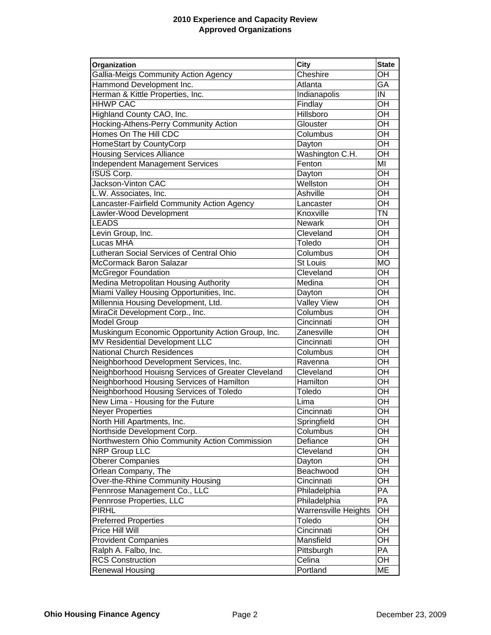## **2010 Experience and Capacity Review Approved Organizations**

| Organization                                       | <b>City</b>                 | <b>State</b> |
|----------------------------------------------------|-----------------------------|--------------|
| Gallia-Meigs Community Action Agency               | Cheshire                    | OH           |
| Hammond Development Inc.                           | Atlanta                     | GA           |
| Herman & Kittle Properties, Inc.                   | Indianapolis                | IN           |
| <b>HHWP CAC</b>                                    | Findlay                     | OH           |
| Highland County CAO, Inc.                          | Hillsboro                   | OH           |
| Hocking-Athens-Perry Community Action              | Glouster                    | OH           |
| Homes On The Hill CDC                              | Columbus                    | OH           |
| HomeStart by CountyCorp                            | Dayton                      | OH           |
| <b>Housing Services Alliance</b>                   | Washington C.H.             | OH           |
| <b>Independent Management Services</b>             | Fenton                      | MI           |
| ISUS Corp.                                         | Dayton                      | OH           |
| Jackson-Vinton CAC                                 | Wellston                    | OH           |
| L.W. Associates, Inc.                              | Ashville                    | OH           |
| Lancaster-Fairfield Community Action Agency        | Lancaster                   | OH           |
| Lawler-Wood Development                            | Knoxville                   | TN           |
| <b>LEADS</b>                                       | <b>Newark</b>               | OH           |
| Levin Group, Inc.                                  | Cleveland                   | OH           |
| Lucas MHA                                          | Toledo                      | OH           |
| Lutheran Social Services of Central Ohio           | Columbus                    | OH           |
| McCormack Baron Salazar                            | <b>St Louis</b>             | <b>MO</b>    |
| <b>McGregor Foundation</b>                         | Cleveland                   | OH           |
| Medina Metropolitan Housing Authority              | Medina                      | OH           |
| Miami Valley Housing Opportunities, Inc.           | Dayton                      | OH           |
| Millennia Housing Development, Ltd.                | <b>Valley View</b>          | OH           |
| MiraCit Development Corp., Inc.                    | Columbus                    | OH           |
| <b>Model Group</b>                                 | Cincinnati                  | OH           |
| Muskingum Economic Opportunity Action Group, Inc.  | Zanesville                  | OH           |
| MV Residential Development LLC                     | Cincinnati                  | OH           |
| <b>National Church Residences</b>                  | Columbus                    | OH           |
| Neighborhood Development Services, Inc.            | Ravenna                     | OH           |
| Neighborhood Houisng Services of Greater Cleveland | Cleveland                   | OH           |
| Neighborhood Housing Services of Hamilton          | Hamilton                    | OH           |
| Neighborhood Housing Services of Toledo            | Toledo                      | OH           |
| New Lima - Housing for the Future                  | Lima                        | OH           |
| <b>Neyer Properties</b>                            | Cincinnati                  | OH           |
| North Hill Apartments, Inc.                        | Springfield                 | OH           |
| Northside Development Corp.                        | Columbus                    | OH           |
| Northwestern Ohio Community Action Commission      | Defiance                    | OH           |
| NRP Group LLC                                      | Cleveland                   | OH           |
| <b>Oberer Companies</b>                            | Dayton                      | OH           |
| Orlean Company, The                                | Beachwood                   | OH           |
| Over-the-Rhine Community Housing                   | Cincinnati                  | OH           |
| Pennrose Management Co., LLC                       | Philadelphia                | PA           |
| Pennrose Properties, LLC                           | Philadelphia                | PA           |
| <b>PIRHL</b>                                       | <b>Warrensville Heights</b> | OH           |
| <b>Preferred Properties</b>                        | Toledo                      | OH           |
| Price Hill Will                                    | Cincinnati                  | OH           |
| <b>Provident Companies</b>                         | Mansfield                   | OH           |
| Ralph A. Falbo, Inc.                               | Pittsburgh                  | PA           |
| <b>RCS Construction</b>                            | Celina                      | OH           |
| Renewal Housing                                    | Portland                    | <b>ME</b>    |